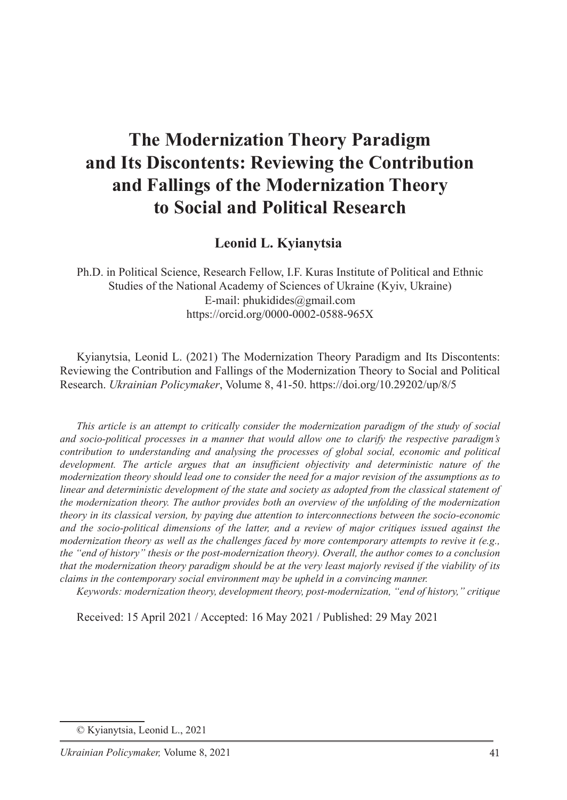# **The Modernization Theory Paradigm and Its Discontents: Reviewing the Contribution and Fallings of the Modernization Theory to Social and Political Research**

Leonid L. Kvianytsia

Ph.D. in Political Science, Research Fellow, I.F. Kuras Institute of Political and Ethnic Studies of the National Academy of Sciences of Ukraine (Kyiv, Ukraine) E-mail: phukidides@gmail.com https://orcid.org/0000-0002-0588-965X

Kyianytsia, Leonid L. (2021) The Modernization Theory Paradigm and Its Discontents: Reviewing the Contribution and Fallings of the Modernization Theory to Social and Political Research. *Ukrainian Policymaker*, Volume 8, 41-50. https://doi.org/10.29202/up/8/5

*This article is an attempt to critically consider the modernization paradigm of the study of social and socio-political processes in a manner that would allow one to clarify the respective paradigm's contribution to understanding and analysing the processes of global social, economic and political development. The article argues that an insufficient objectivity and deterministic nature of the modernization theory should lead one to consider the need for a major revision of the assumptions as to linear and deterministic development of the state and society as adopted from the classical statement of the modernization theory. The author provides both an overview of the unfolding of the modernization theory in its classical version, by paying due attention to interconnections between the socio-economic and the socio-political dimensions of the latter, and a review of major critiques issued against the modernization theory as well as the challenges faced by more contemporary attempts to revive it (e.g., the "end of history" thesis or the post-modernization theory). Overall, the author comes to a conclusion that the modernization theory paradigm should be at the very least majorly revised if the viability of its claims in the contemporary social environment may be upheld in a convincing manner.*

*Keywords: modernization theory, development theory, post-modernization, "end of history," critique*

Received: 15 April 2021 / Accepted: 16 May 2021 / Published: 29 May 2021

<sup>©</sup> Kyianytsia, Leonid L., 2021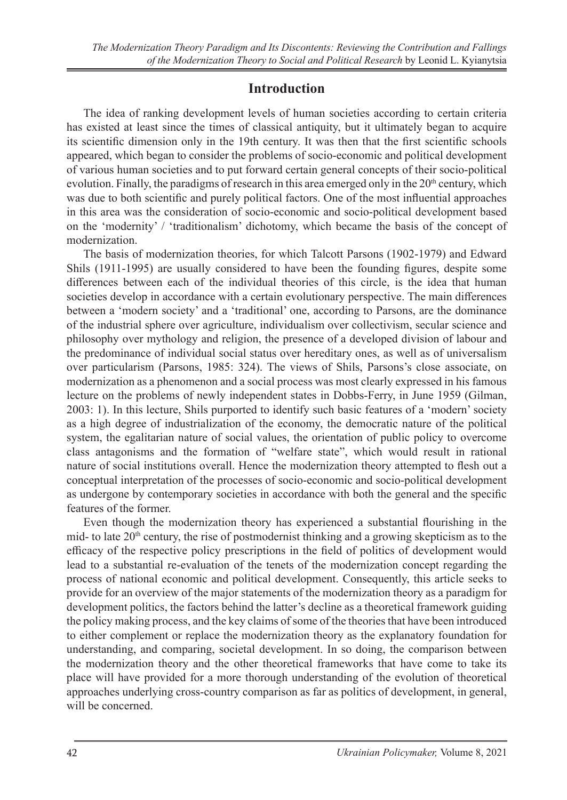#### **Introduction**

The idea of ranking development levels of human societies according to certain criteria has existed at least since the times of classical antiquity, but it ultimately began to acquire its scientific dimension only in the 19th century. It was then that the first scientific schools appeared, which began to consider the problems of socio-economic and political development of various human societies and to put forward certain general concepts of their socio-political evolution. Finally, the paradigms of research in this area emerged only in the  $20<sup>th</sup>$  century, which was due to both scientific and purely political factors. One of the most influential approaches in this area was the consideration of socio-economic and socio-political development based on the 'modernity' / 'traditionalism' dichotomy, which became the basis of the concept of modernization.

The basis of modernization theories, for which Talcott Parsons (1902-1979) and Edward Shils (1911-1995) are usually considered to have been the founding figures, despite some differences between each of the individual theories of this circle, is the idea that human societies develop in accordance with a certain evolutionary perspective. The main differences between a 'modern society' and a 'traditional' one, according to Parsons, are the dominance of the industrial sphere over agriculture, individualism over collectivism, secular science and philosophy over mythology and religion, the presence of a developed division of labour and the predominance of individual social status over hereditary ones, as well as of universalism over particularism (Parsons, 1985: 324). The views of Shils, Parsons's close associate, on modernization as a phenomenon and a social process was most clearly expressed in his famous lecture on the problems of newly independent states in Dobbs-Ferry, in June 1959 (Gilman, 2003: 1). In this lecture, Shils purported to identify such basic features of a 'modern' society as a high degree of industrialization of the economy, the democratic nature of the political system, the egalitarian nature of social values, the orientation of public policy to overcome class antagonisms and the formation of "welfare state", which would result in rational nature of social institutions overall. Hence the modernization theory attempted to flesh out a conceptual interpretation of the processes of socio-economic and socio-political development as undergone by contemporary societies in accordance with both the general and the specific features of the former.

Even though the modernization theory has experienced a substantial flourishing in the mid- to late  $20<sup>th</sup>$  century, the rise of postmodernist thinking and a growing skepticism as to the efficacy of the respective policy prescriptions in the field of politics of development would lead to a substantial re-evaluation of the tenets of the modernization concept regarding the process of national economic and political development. Consequently, this article seeks to provide for an overview of the major statements of the modernization theory as a paradigm for development politics, the factors behind the latter's decline as a theoretical framework guiding the policy making process, and the key claims of some of the theories that have been introduced to either complement or replace the modernization theory as the explanatory foundation for understanding, and comparing, societal development. In so doing, the comparison between the modernization theory and the other theoretical frameworks that have come to take its place will have provided for a more thorough understanding of the evolution of theoretical approaches underlying cross-country comparison as far as politics of development, in general, will be concerned.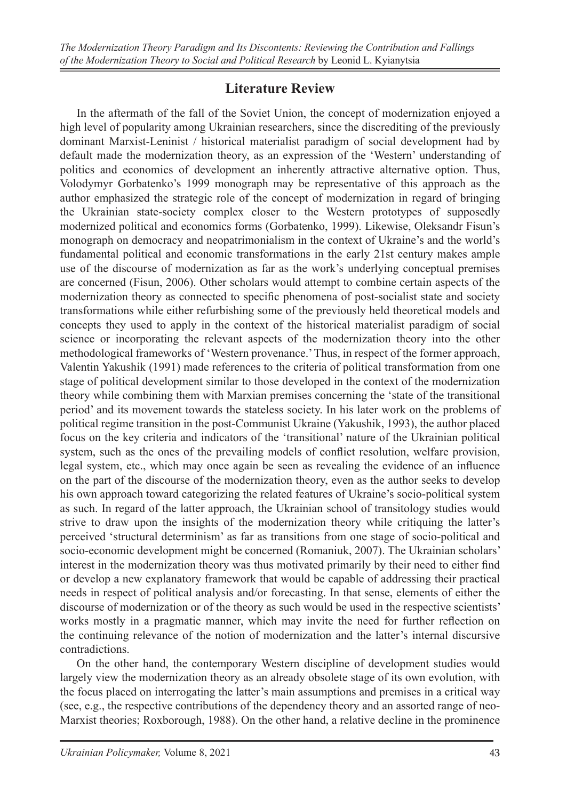### **Literature Review**

In the aftermath of the fall of the Soviet Union, the concept of modernization enjoyed a high level of popularity among Ukrainian researchers, since the discrediting of the previously dominant Marxist-Leninist / historical materialist paradigm of social development had by default made the modernization theory, as an expression of the 'Western' understanding of politics and economics of development an inherently attractive alternative option. Thus, Volodymyr Gorbatenko's 1999 monograph may be representative of this approach as the author emphasized the strategic role of the concept of modernization in regard of bringing the Ukrainian state-society complex closer to the Western prototypes of supposedly modernized political and economics forms (Gorbatenko, 1999). Likewise, Oleksandr Fisun's monograph on democracy and neopatrimonialism in the context of Ukraine's and the world's fundamental political and economic transformations in the early 21st century makes ample use of the discourse of modernization as far as the work's underlying conceptual premises are concerned (Fisun, 2006). Other scholars would attempt to combine certain aspects of the modernization theory as connected to specific phenomena of post-socialist state and society transformations while either refurbishing some of the previously held theoretical models and concepts they used to apply in the context of the historical materialist paradigm of social science or incorporating the relevant aspects of the modernization theory into the other methodological frameworks of 'Western provenance.' Thus, in respect of the former approach, Valentin Yakushik (1991) made references to the criteria of political transformation from one stage of political development similar to those developed in the context of the modernization theory while combining them with Marxian premises concerning the 'state of the transitional period' and its movement towards the stateless society. In his later work on the problems of political regime transition in the post-Communist Ukraine (Yakushik, 1993), the author placed focus on the key criteria and indicators of the 'transitional' nature of the Ukrainian political system, such as the ones of the prevailing models of conflict resolution, welfare provision, legal system, etc., which may once again be seen as revealing the evidence of an influence on the part of the discourse of the modernization theory, even as the author seeks to develop his own approach toward categorizing the related features of Ukraine's socio-political system as such. In regard of the latter approach, the Ukrainian school of transitology studies would strive to draw upon the insights of the modernization theory while critiquing the latter's perceived 'structural determinism' as far as transitions from one stage of socio-political and socio-economic development might be concerned (Romaniuk, 2007). The Ukrainian scholars' interest in the modernization theory was thus motivated primarily by their need to either find or develop a new explanatory framework that would be capable of addressing their practical needs in respect of political analysis and/or forecasting. In that sense, elements of either the discourse of modernization or of the theory as such would be used in the respective scientists' works mostly in a pragmatic manner, which may invite the need for further reflection on the continuing relevance of the notion of modernization and the latter's internal discursive contradictions.

On the other hand, the contemporary Western discipline of development studies would largely view the modernization theory as an already obsolete stage of its own evolution, with the focus placed on interrogating the latter's main assumptions and premises in a critical way (see, e.g., the respective contributions of the dependency theory and an assorted range of neo-Marxist theories; Roxborough, 1988). On the other hand, a relative decline in the prominence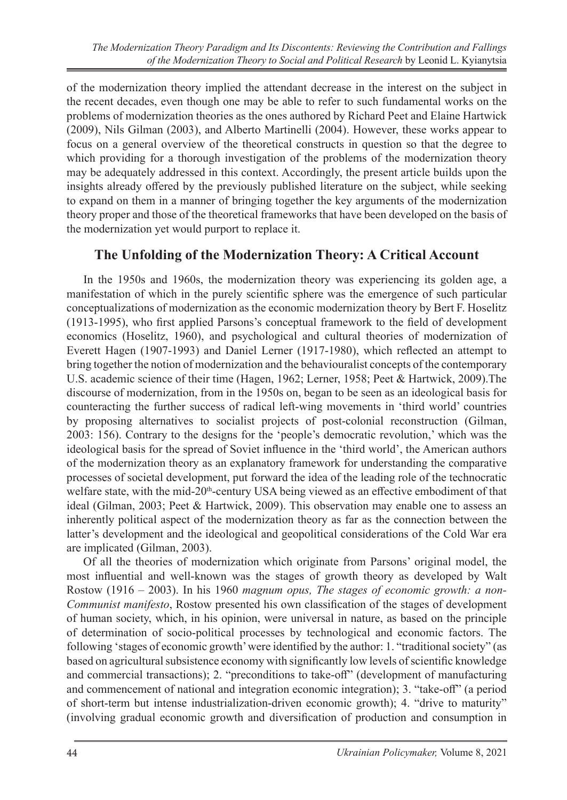of the modernization theory implied the attendant decrease in the interest on the subject in the recent decades, even though one may be able to refer to such fundamental works on the problems of modernization theories as the ones authored by Richard Peet and Elaine Hartwick (2009), Nils Gilman (2003), and Alberto Martinelli (2004). However, these works appear to focus on a general overview of the theoretical constructs in question so that the degree to which providing for a thorough investigation of the problems of the modernization theory may be adequately addressed in this context. Accordingly, the present article builds upon the insights already offered by the previously published literature on the subject, while seeking to expand on them in a manner of bringing together the key arguments of the modernization theory proper and those of the theoretical frameworks that have been developed on the basis of the modernization yet would purport to replace it.

# **The Unfolding of the Modernization Theory: A Critical Account**

In the 1950s and 1960s, the modernization theory was experiencing its golden age, a manifestation of which in the purely scientific sphere was the emergence of such particular conceptualizations of modernization as the economic modernization theory by Bert F. Hoselitz (1913-1995), who first applied Parsons's conceptual framework to the field of development economics (Hoselitz, 1960), and psychological and cultural theories of modernization of Everett Hagen (1907-1993) and Daniel Lerner (1917-1980), which reflected an attempt to bring together the notion of modernization and the behaviouralist concepts of the contemporary U.S. academic science of their time (Hagen, 1962; Lerner, 1958; Peet & Hartwick, 2009).The discourse of modernization, from in the 1950s on, began to be seen as an ideological basis for counteracting the further success of radical left-wing movements in 'third world' countries by proposing alternatives to socialist projects of post-colonial reconstruction (Gilman, 2003: 156). Contrary to the designs for the 'people's democratic revolution,' which was the ideological basis for the spread of Soviet influence in the 'third world', the American authors of the modernization theory as an explanatory framework for understanding the comparative processes of societal development, put forward the idea of the leading role of the technocratic welfare state, with the mid-20<sup>th</sup>-century USA being viewed as an effective embodiment of that ideal (Gilman, 2003; Peet & Hartwick, 2009). This observation may enable one to assess an inherently political aspect of the modernization theory as far as the connection between the latter's development and the ideological and geopolitical considerations of the Cold War era are implicated (Gilman, 2003).

Of all the theories of modernization which originate from Parsons' original model, the most influential and well-known was the stages of growth theory as developed by Walt Rostow (1916 – 2003). In his 1960 *magnum opus, The stages of economic growth: a non-Communist manifesto*, Rostow presented his own classification of the stages of development of human society, which, in his opinion, were universal in nature, as based on the principle of determination of socio-political processes by technological and economic factors. The following 'stages of economic growth' were identified by the author: 1. "traditional society" (as based on agricultural subsistence economy with significantly low levels of scientific knowledge and commercial transactions); 2. "preconditions to take-off" (development of manufacturing and commencement of national and integration economic integration); 3. "take-off" (a period of short-term but intense industrialization-driven economic growth); 4. "drive to maturity" (involving gradual economic growth and diversification of production and consumption in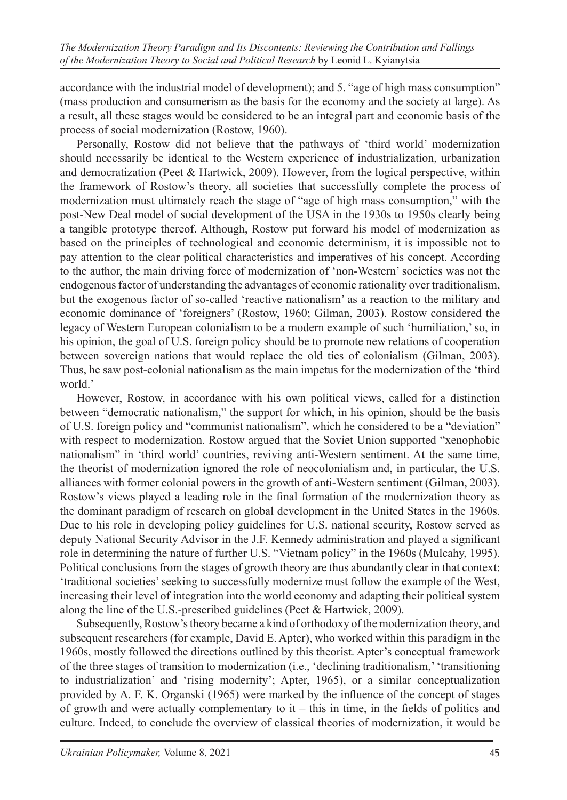accordance with the industrial model of development); and 5. "age of high mass consumption" (mass production and consumerism as the basis for the economy and the society at large). As a result, all these stages would be considered to be an integral part and economic basis of the process of social modernization (Rostow, 1960).

Personally, Rostow did not believe that the pathways of 'third world' modernization should necessarily be identical to the Western experience of industrialization, urbanization and democratization (Peet & Hartwick, 2009). However, from the logical perspective, within the framework of Rostow's theory, all societies that successfully complete the process of modernization must ultimately reach the stage of "age of high mass consumption," with the post-New Deal model of social development of the USA in the 1930s to 1950s clearly being a tangible prototype thereof. Although, Rostow put forward his model of modernization as based on the principles of technological and economic determinism, it is impossible not to pay attention to the clear political characteristics and imperatives of his concept. According to the author, the main driving force of modernization of 'non-Western' societies was not the endogenous factor of understanding the advantages of economic rationality over traditionalism, but the exogenous factor of so-called 'reactive nationalism' as a reaction to the military and economic dominance of 'foreigners' (Rostow, 1960; Gilman, 2003). Rostow considered the legacy of Western European colonialism to be a modern example of such 'humiliation,' so, in his opinion, the goal of U.S. foreign policy should be to promote new relations of cooperation between sovereign nations that would replace the old ties of colonialism (Gilman, 2003). Thus, he saw post-colonial nationalism as the main impetus for the modernization of the 'third world.'

However, Rostow, in accordance with his own political views, called for a distinction between "democratic nationalism," the support for which, in his opinion, should be the basis of U.S. foreign policy and "communist nationalism", which he considered to be a "deviation" with respect to modernization. Rostow argued that the Soviet Union supported "xenophobic nationalism" in 'third world' countries, reviving anti-Western sentiment. At the same time, the theorist of modernization ignored the role of neocolonialism and, in particular, the U.S. alliances with former colonial powers in the growth of anti-Western sentiment (Gilman, 2003). Rostow's views played a leading role in the final formation of the modernization theory as the dominant paradigm of research on global development in the United States in the 1960s. Due to his role in developing policy guidelines for U.S. national security, Rostow served as deputy National Security Advisor in the J.F. Kennedy administration and played a significant role in determining the nature of further U.S. "Vietnam policy" in the 1960s (Mulcahy, 1995). Political conclusions from the stages of growth theory are thus abundantly clear in that context: 'traditional societies' seeking to successfully modernize must follow the example of the West, increasing their level of integration into the world economy and adapting their political system along the line of the U.S.-prescribed guidelines (Peet & Hartwick, 2009).

Subsequently, Rostow's theory became a kind of orthodoxy of the modernization theory, and subsequent researchers (for example, David E. Apter), who worked within this paradigm in the 1960s, mostly followed the directions outlined by this theorist. Apter's conceptual framework of the three stages of transition to modernization (i.e., 'declining traditionalism,' 'transitioning to industrialization' and 'rising modernity'; Apter, 1965), or a similar conceptualization provided by A. F. K. Organski (1965) were marked by the influence of the concept of stages of growth and were actually complementary to  $it - this$  in time, in the fields of politics and culture. Indeed, to conclude the overview of classical theories of modernization, it would be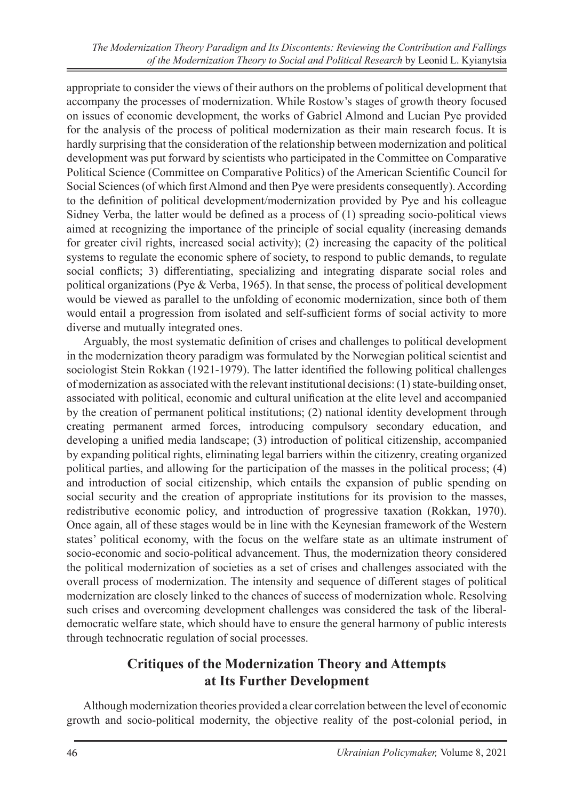*The Modernization Theory Paradigm and Its Discontents: Reviewing the Contribution and Fallings of the Modernization Theory to Social and Political Research* by Leonid L. Kyianytsia

appropriate to consider the views of their authors on the problems of political development that accompany the processes of modernization. While Rostow's stages of growth theory focused on issues of economic development, the works of Gabriel Almond and Lucian Pye provided for the analysis of the process of political modernization as their main research focus. It is hardly surprising that the consideration of the relationship between modernization and political development was put forward by scientists who participated in the Committee on Comparative Political Science (Committee on Comparative Politics) of the American Scientific Council for Social Sciences (of which first Almond and then Pye were presidents consequently). According to the definition of political development/modernization provided by Pye and his colleague Sidney Verba, the latter would be defined as a process of (1) spreading socio-political views aimed at recognizing the importance of the principle of social equality (increasing demands for greater civil rights, increased social activity); (2) increasing the capacity of the political systems to regulate the economic sphere of society, to respond to public demands, to regulate social conflicts; 3) differentiating, specializing and integrating disparate social roles and political organizations (Pye & Verba, 1965). In that sense, the process of political development would be viewed as parallel to the unfolding of economic modernization, since both of them would entail a progression from isolated and self-sufficient forms of social activity to more diverse and mutually integrated ones.

Arguably, the most systematic definition of crises and challenges to political development in the modernization theory paradigm was formulated by the Norwegian political scientist and sociologist Stein Rokkan (1921-1979). The latter identified the following political challenges of modernization as associated with the relevant institutional decisions: (1) state-building onset, associated with political, economic and cultural unification at the elite level and accompanied by the creation of permanent political institutions; (2) national identity development through creating permanent armed forces, introducing compulsory secondary education, and developing a unified media landscape; (3) introduction of political citizenship, accompanied by expanding political rights, eliminating legal barriers within the citizenry, creating organized political parties, and allowing for the participation of the masses in the political process; (4) and introduction of social citizenship, which entails the expansion of public spending on social security and the creation of appropriate institutions for its provision to the masses, redistributive economic policy, and introduction of progressive taxation (Rokkan, 1970). Once again, all of these stages would be in line with the Keynesian framework of the Western states' political economy, with the focus on the welfare state as an ultimate instrument of socio-economic and socio-political advancement. Thus, the modernization theory considered the political modernization of societies as a set of crises and challenges associated with the overall process of modernization. The intensity and sequence of different stages of political modernization are closely linked to the chances of success of modernization whole. Resolving such crises and overcoming development challenges was considered the task of the liberaldemocratic welfare state, which should have to ensure the general harmony of public interests through technocratic regulation of social processes.

#### **Critiques of the Modernization Theory and Attempts at Its Further Development**

Although modernization theories provided a clear correlation between the level of economic growth and socio-political modernity, the objective reality of the post-colonial period, in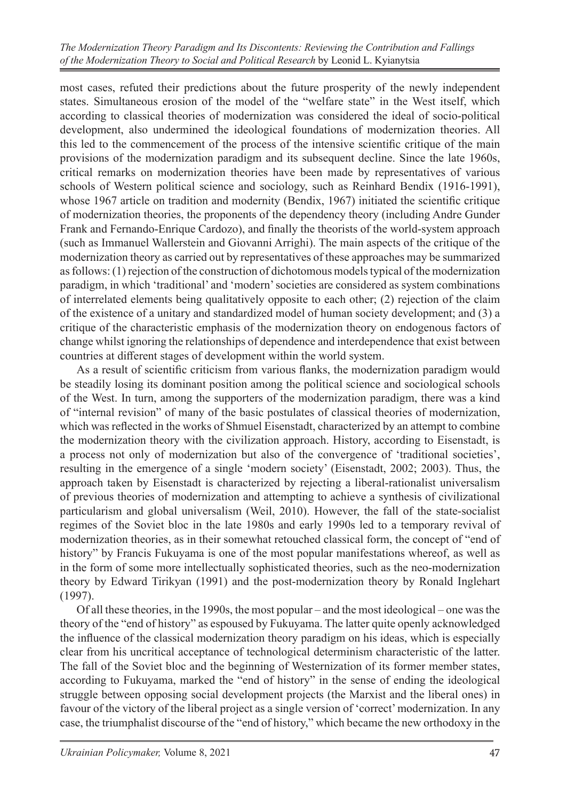*The Modernization Theory Paradigm and Its Discontents: Reviewing the Contribution and Fallings of the Modernization Theory to Social and Political Research* by Leonid L. Kyianytsia

most cases, refuted their predictions about the future prosperity of the newly independent states. Simultaneous erosion of the model of the "welfare state" in the West itself, which according to classical theories of modernization was considered the ideal of socio-political development, also undermined the ideological foundations of modernization theories. All this led to the commencement of the process of the intensive scientific critique of the main provisions of the modernization paradigm and its subsequent decline. Since the late 1960s, critical remarks on modernization theories have been made by representatives of various schools of Western political science and sociology, such as Reinhard Bendix (1916-1991), whose 1967 article on tradition and modernity (Bendix, 1967) initiated the scientific critique of modernization theories, the proponents of the dependency theory (including Andre Gunder Frank and Fernando-Enrique Cardozo), and finally the theorists of the world-system approach (such as Immanuel Wallerstein and Giovanni Arrighi). The main aspects of the critique of the modernization theory as carried out by representatives of these approaches may be summarized as follows: (1) rejection of the construction of dichotomous models typical of the modernization paradigm, in which 'traditional' and 'modern' societies are considered as system combinations of interrelated elements being qualitatively opposite to each other; (2) rejection of the claim of the existence of a unitary and standardized model of human society development; and (3) a critique of the characteristic emphasis of the modernization theory on endogenous factors of change whilst ignoring the relationships of dependence and interdependence that exist between countries at different stages of development within the world system.

As a result of scientific criticism from various flanks, the modernization paradigm would be steadily losing its dominant position among the political science and sociological schools of the West. In turn, among the supporters of the modernization paradigm, there was a kind of "internal revision" of many of the basic postulates of classical theories of modernization, which was reflected in the works of Shmuel Eisenstadt, characterized by an attempt to combine the modernization theory with the civilization approach. History, according to Eisenstadt, is a process not only of modernization but also of the convergence of 'traditional societies', resulting in the emergence of a single 'modern society' (Eisenstadt, 2002; 2003). Thus, the approach taken by Eisenstadt is characterized by rejecting a liberal-rationalist universalism of previous theories of modernization and attempting to achieve a synthesis of civilizational particularism and global universalism (Weil, 2010). However, the fall of the state-socialist regimes of the Soviet bloc in the late 1980s and early 1990s led to a temporary revival of modernization theories, as in their somewhat retouched classical form, the concept of "end of history" by Francis Fukuyama is one of the most popular manifestations whereof, as well as in the form of some more intellectually sophisticated theories, such as the neo-modernization theory by Edward Tirikyan (1991) and the post-modernization theory by Ronald Inglehart (1997).

Of all these theories, in the 1990s, the most popular – and the most ideological – one was the theory of the "end of history" as espoused by Fukuyama. The latter quite openly acknowledged the influence of the classical modernization theory paradigm on his ideas, which is especially clear from his uncritical acceptance of technological determinism characteristic of the latter. The fall of the Soviet bloc and the beginning of Westernization of its former member states, according to Fukuyama, marked the "end of history" in the sense of ending the ideological struggle between opposing social development projects (the Marxist and the liberal ones) in favour of the victory of the liberal project as a single version of 'correct' modernization. In any case, the triumphalist discourse of the "end of history," which became the new orthodoxy in the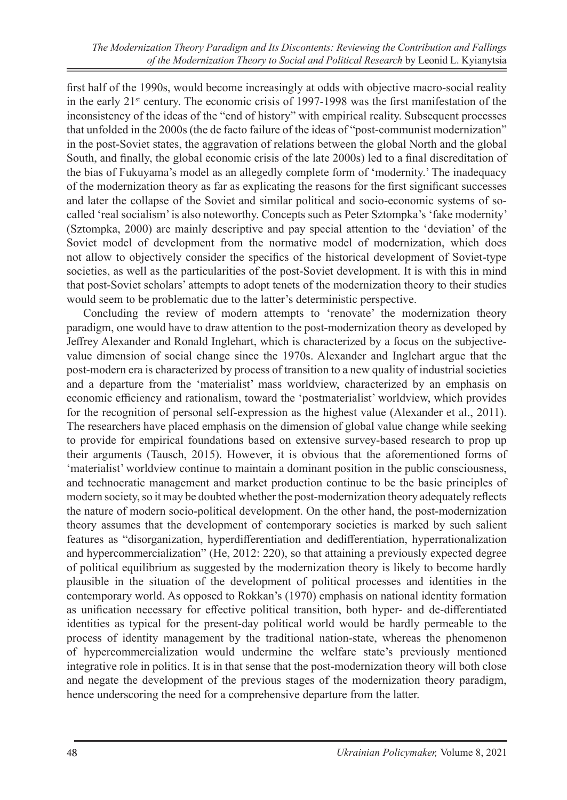first half of the 1990s, would become increasingly at odds with objective macro-social reality in the early  $21<sup>st</sup>$  century. The economic crisis of 1997-1998 was the first manifestation of the inconsistency of the ideas of the "end of history" with empirical reality. Subsequent processes that unfolded in the 2000s (the de facto failure of the ideas of "post-communist modernization" in the post-Soviet states, the aggravation of relations between the global North and the global South, and finally, the global economic crisis of the late 2000s) led to a final discreditation of the bias of Fukuyama's model as an allegedly complete form of 'modernity.' The inadequacy of the modernization theory as far as explicating the reasons for the first significant successes and later the collapse of the Soviet and similar political and socio-economic systems of socalled 'real socialism' is also noteworthy. Concepts such as Peter Sztompka's 'fake modernity' (Sztompka, 2000) are mainly descriptive and pay special attention to the 'deviation' of the Soviet model of development from the normative model of modernization, which does not allow to objectively consider the specifics of the historical development of Soviet-type societies, as well as the particularities of the post-Soviet development. It is with this in mind that post-Soviet scholars' attempts to adopt tenets of the modernization theory to their studies would seem to be problematic due to the latter's deterministic perspective.

Concluding the review of modern attempts to 'renovate' the modernization theory paradigm, one would have to draw attention to the post-modernization theory as developed by Jeffrey Alexander and Ronald Inglehart, which is characterized by a focus on the subjectivevalue dimension of social change since the 1970s. Alexander and Inglehart argue that the post-modern era is characterized by process of transition to a new quality of industrial societies and a departure from the 'materialist' mass worldview, characterized by an emphasis on economic efficiency and rationalism, toward the 'postmaterialist' worldview, which provides for the recognition of personal self-expression as the highest value (Alexander et al., 2011). The researchers have placed emphasis on the dimension of global value change while seeking to provide for empirical foundations based on extensive survey-based research to prop up their arguments (Tausch, 2015). However, it is obvious that the aforementioned forms of 'materialist' worldview continue to maintain a dominant position in the public consciousness, and technocratic management and market production continue to be the basic principles of modern society, so it may be doubted whether the post-modernization theory adequately reflects the nature of modern socio-political development. On the other hand, the post-modernization theory assumes that the development of contemporary societies is marked by such salient features as "disorganization, hyperdifferentiation and dedifferentiation, hyperrationalization and hypercommercialization" (He, 2012: 220), so that attaining a previously expected degree of political equilibrium as suggested by the modernization theory is likely to become hardly plausible in the situation of the development of political processes and identities in the contemporary world. As opposed to Rokkan's (1970) emphasis on national identity formation as unification necessary for effective political transition, both hyper- and de-differentiated identities as typical for the present-day political world would be hardly permeable to the process of identity management by the traditional nation-state, whereas the phenomenon of hypercommercialization would undermine the welfare state's previously mentioned integrative role in politics. It is in that sense that the post-modernization theory will both close and negate the development of the previous stages of the modernization theory paradigm, hence underscoring the need for a comprehensive departure from the latter.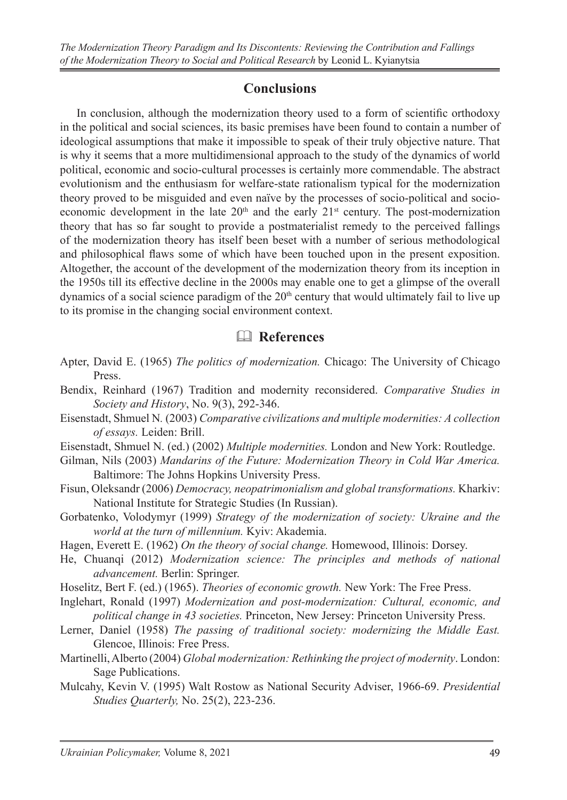#### **Conclusions**

In conclusion, although the modernization theory used to a form of scientific orthodoxy in the political and social sciences, its basic premises have been found to contain a number of ideological assumptions that make it impossible to speak of their truly objective nature. That is why it seems that a more multidimensional approach to the study of the dynamics of world political, economic and socio-cultural processes is certainly more commendable. The abstract evolutionism and the enthusiasm for welfare-state rationalism typical for the modernization theory proved to be misguided and even naïve by the processes of socio-political and socioeconomic development in the late  $20<sup>th</sup>$  and the early  $21<sup>st</sup>$  century. The post-modernization theory that has so far sought to provide a postmaterialist remedy to the perceived fallings of the modernization theory has itself been beset with a number of serious methodological and philosophical flaws some of which have been touched upon in the present exposition. Altogether, the account of the development of the modernization theory from its inception in the 1950s till its effective decline in the 2000s may enable one to get a glimpse of the overall dynamics of a social science paradigm of the  $20<sup>th</sup>$  century that would ultimately fail to live up to its promise in the changing social environment context.

# & **References**

- Apter, David E. (1965) *The politics of modernization.* Chicago: The University of Chicago Press.
- Bendix, Reinhard (1967) Tradition and modernity reconsidered. *Comparative Studies in Society and History*, No. 9(3), 292-346.
- Eisenstadt, Shmuel N*.* (2003) *Comparative civilizations and multiple modernities: A collection of essays.* Leiden: Brill.
- Eisenstadt, Shmuel N. (ed.) (2002) *Multiple modernities.* London and New York: Routledge.
- Gilman, Nils (2003) *Mandarins of the Future: Modernization Theory in Cold War America.* Baltimore: The Johns Hopkins University Press.
- Fisun, Oleksandr (2006) *Democracy, neopatrimonialism and global transformations.* Kharkiv: National Institute for Strategic Studies (In Russian).
- Gorbatenko, Volodymyr (1999) *Strategy of the modernization of society: Ukraine and the world at the turn of millennium.* Kyiv: Akademia.
- Hagen, Everett E. (1962) *On the theory of social change.* Homewood, Illinois: Dorsey.
- He, Chuanqi (2012) *Modernization science: The principles and methods of national advancement.* Berlin: Springer.
- Hoselitz, Bert F. (ed.) (1965). *Theories of economic growth.* New York: The Free Press.
- Inglehart, Ronald (1997) *Modernization and post-modernization: Cultural, economic, and political change in 43 societies.* Princeton, New Jersey: Princeton University Press.
- Lerner, Daniel (1958) *The passing of traditional society: modernizing the Middle East.*  Glencoe, Illinois: Free Press.
- Martinelli, Alberto (2004) *Global modernization: Rethinking the project of modernity*. London: Sage Publications.
- Mulcahy, Kevin V. (1995) Walt Rostow as National Security Adviser, 1966-69. *Presidential Studies Quarterly,* No. 25(2), 223-236.